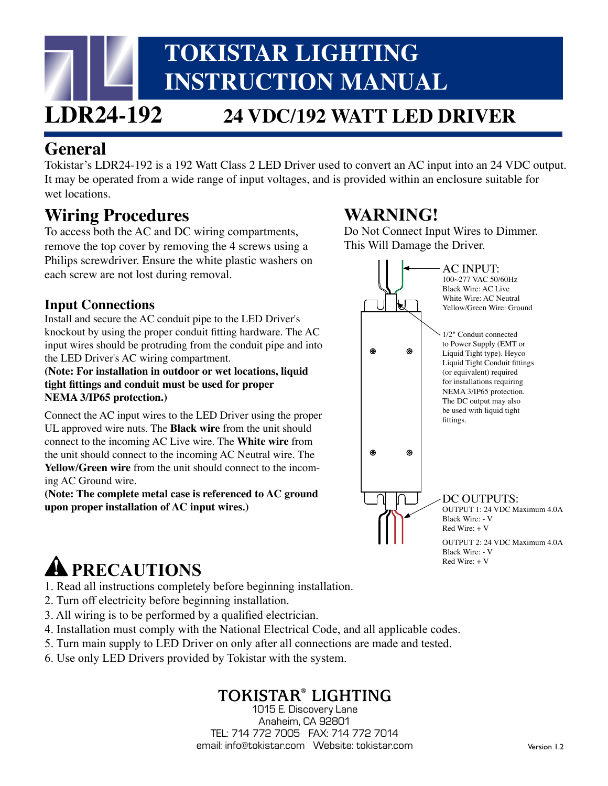# **TOKISTAR LIGHTING INSTRUCTION MANUAL**

# **LDR24-192 24 VDC/192 WATT LED DRIVER**

### **General**

Tokistar's LDR24-192 is a 192 Watt Class 2 LED Driver used to convert an AC input into an 24 VDC output. It may be operated from a wide range of input voltages, and is provided within an enclosure suitable for wet locations.

# . **Wiring Procedures**

To access both the AC and DC wiring compartments, remove the top cover by removing the 4 screws using a Philips screwdriver. Ensure the white plastic washers on each screw are not lost during removal.

### **Input Connections**

Install and secure the AC conduit pipe to the LED Driver's knockout by using the proper conduit fitting hardware. The AC input wires should be protruding from the conduit pipe and into the LED Driver's AC wiring compartment.

**(Note: For installation in outdoor or wet locations, liquid tight fittings and conduit must be used for proper NEMA 3/IP65 protection.)**

Connect the AC input wires to the LED Driver using the proper UL approved wire nuts. The **Black wire** from the unit should connect to the incoming AC Live wire. The **White wire** from the unit should connect to the incoming AC Neutral wire. The **Yellow/Green wire** from the unit should connect to the incoming AC Ground wire.

**(Note: The complete metal case is referenced to AC ground upon proper installation of AC input wires.)**

# **PRECAUTIONS**

1. Read all instructions completely before beginning installation.

- 2. Turn off electricity before beginning installation.
- 3. All wiring is to be performed by a qualified electrician.
- 4. Installation must comply with the National Electrical Code, and all applicable codes.
- 5. Turn main supply to LED Driver on only after all connections are made and tested.
- 6. Use only LED Drivers provided by Tokistar with the system.

## **TOKISTAR® LIGHTING**

1015 E. Discovery Lane Anaheim, CA 92801 TEL: 714 772 7005 FAX: 714 772 7014 email: info@tokistar.com Website: tokistar.com

# **WARNING!**

Do Not Connect Input Wires to Dimmer. This Will Damage the Driver.